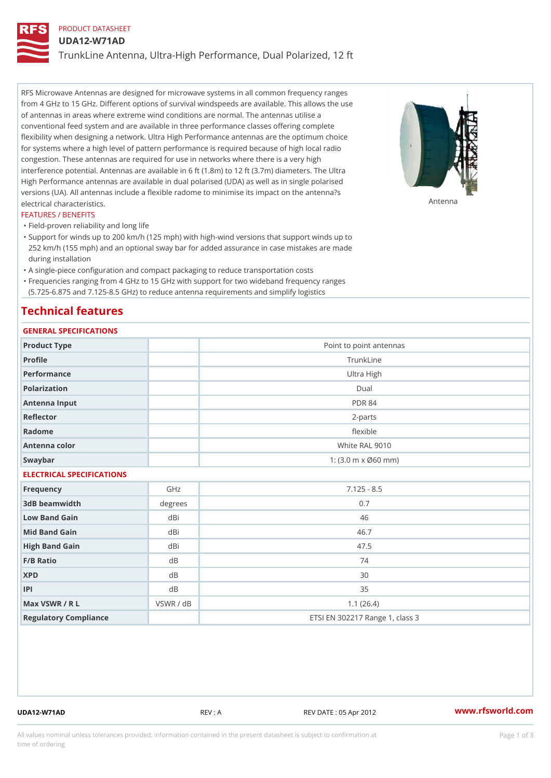# PRODUCT DATASHEET

## UDA12-W71AD

TrunkLine Antenna, Ultra-High Performance, Dual Polarized, 12 ft

RFS Microwave Antennas are designed for microwave systems in all common frequency ranges from 4 GHz to 15 GHz. Different options of survival windspeeds are available. This allows the use of antennas in areas where extreme wind conditions are normal. The antennas utilise a conventional feed system and are available in three performance classes offering complete flexibility when designing a network. Ultra High Performance antennas are the optimum choice for systems where a high level of pattern performance is required because of high local radio congestion. These antennas are required for use in networks where there is a very high interference potential. Antennas are available in 6 ft (1.8m) to 12 ft (3.7m) diameters. The Ultra High Performance antennas are available in dual polarised (UDA) as well as in single polarised versions (UA). All antennas include a flexible radome to minimise its impact on the antenna?s electrical characteristics. Antenna

#### FEATURES / BENEFITS

"Field-proven reliability and long life

- Support for winds up to 200 km/h (125 mph) with high-wind versions that support winds up to " 252 km/h (155 mph) and an optional sway bar for added assurance in case mistakes are made during installation
- "A single-piece configuration and compact packaging to reduce transportation costs
- Frequencies ranging from 4 GHz to 15 GHz with support for two wideband frequency ranges "
- (5.725-6.875 and 7.125-8.5 GHz) to reduce antenna requirements and simplify logistics

## Technical features

## GENERAL SPECIFICATIONS

| GENERAL SPECIFICATIONS    |                |                                                         |  |  |
|---------------------------|----------------|---------------------------------------------------------|--|--|
| Product Type              |                | Point to point antennas                                 |  |  |
| Profile                   |                | TrunkLine                                               |  |  |
| Performance               |                | Ultra High                                              |  |  |
| Polarization              |                | Dual                                                    |  |  |
| Antenna Input             |                | <b>PDR 84</b>                                           |  |  |
| Reflector                 |                | $2 - p$ arts                                            |  |  |
| Radome                    |                | flexible                                                |  |  |
| Antenna color             |                | White RAL 9010                                          |  |  |
| Swaybar                   |                | 1: $(3.0 \, \text{m} \times \emptyset 60 \, \text{mm})$ |  |  |
| ELECTRICAL SPECIFICATIONS |                |                                                         |  |  |
| Frequency                 | GHz            | $7.125 - 8.5$                                           |  |  |
| 3dB beamwidth             | degrees        | 0.7                                                     |  |  |
| Low Band Gain             | dBi            | 46                                                      |  |  |
| Mid Band Gain             | dBi            | 46.7                                                    |  |  |
| High Band Gain            | dBi            | 47.5                                                    |  |  |
| F/B Ratio                 | d B            | 74                                                      |  |  |
| <b>XPD</b>                | d <sub>B</sub> | 30                                                      |  |  |
| P                         | d B            | 35                                                      |  |  |
| Max VSWR / R L            | VSWR / dB      | 1.1(26.4)                                               |  |  |
| Regulatory Compliance     |                | ETSI EN 302217 Range 1, class 3                         |  |  |

UDA12-W71AD REV : A REV DATE : 05 Apr 2012 [www.](https://www.rfsworld.com)rfsworld.com

All values nominal unless tolerances provided; information contained in the present datasheet is subject to Pcapgeign mation time of ordering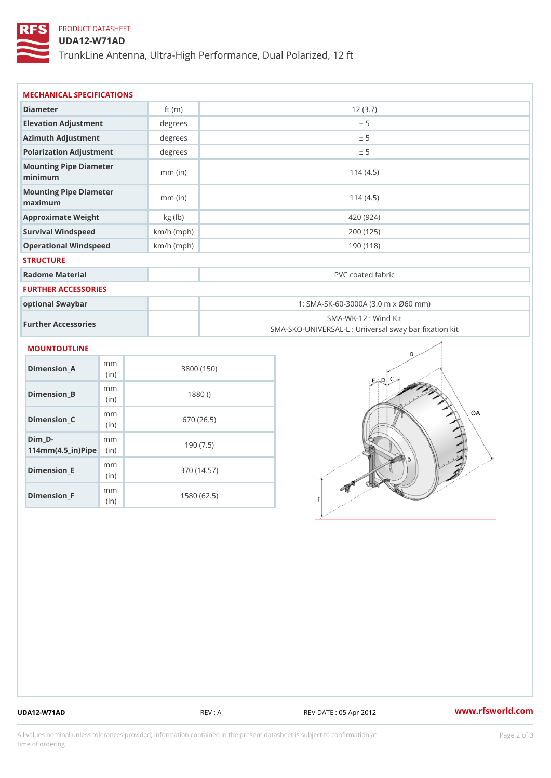## PRODUCT DATASHEET

### UDA12-W71AD

TrunkLine Antenna, Ultra-High Performance, Dual Polarized, 12 ft

| MECHANICAL SPECIFICATIONS                                                  |              |                                                                           |  |
|----------------------------------------------------------------------------|--------------|---------------------------------------------------------------------------|--|
| Diameter                                                                   | ft $(m)$     | 12(3.7)                                                                   |  |
| Elevation Adjustment                                                       | degree       | ± 5                                                                       |  |
| Azimuth Adjustment                                                         | degrees      | ± 5                                                                       |  |
| Polarization Adjustment                                                    | degrees      | ± 5                                                                       |  |
| Mounting Pipe Diameter<br>minimum                                          | $mm$ (in)    | 114(4.5)                                                                  |  |
| Mounting Pipe Diameter<br>maximum                                          | $mm$ (in)    | 114(4.5)                                                                  |  |
| Approximate Weight                                                         | kg (lb)      | 420 (924)                                                                 |  |
| Survival Windspeed                                                         | $km/h$ (mph) | 200 (125)                                                                 |  |
| Operational Windspeed                                                      | $km/h$ (mph) | 190 (118)                                                                 |  |
| <b>STRUCTURE</b>                                                           |              |                                                                           |  |
| Radome Material                                                            |              | PVC coated fabric                                                         |  |
| <b>FURTHER ACCESSORIES</b>                                                 |              |                                                                           |  |
| optional Swaybar                                                           |              | 1: SMA-SK-60-3000A (3.0 m x Ø60 mm)                                       |  |
| Further Accessories                                                        |              | SMA-WK-12 : Wind Kit<br>SMA-SKO-UNIVERSAL-L : Universal sway bar fixation |  |
| <b>MOUNTOUTLINE</b>                                                        |              |                                                                           |  |
| m m<br>Dimension_A<br>(in)                                                 |              | 3800 (150)                                                                |  |
| m m<br>$Dimension_B$<br>(in)                                               |              | 1880()                                                                    |  |
| m m<br>Dimension_C<br>(in)                                                 |              | 670 (26.5)                                                                |  |
| $Dim_D - D -$<br>m <sub>m</sub><br>$114$ m m $(4.5$ ir $)$ $\sqrt{$ ip $e$ |              | 190(7.5)                                                                  |  |

Dimension\_F m<sub>m</sub> (in) 1580 (62.5)

mm (in)

Dimension\_E

370 (14.57)

UDA12-W71AD REV : A REV DATE : 05 Apr 2012 [www.](https://www.rfsworld.com)rfsworld.com